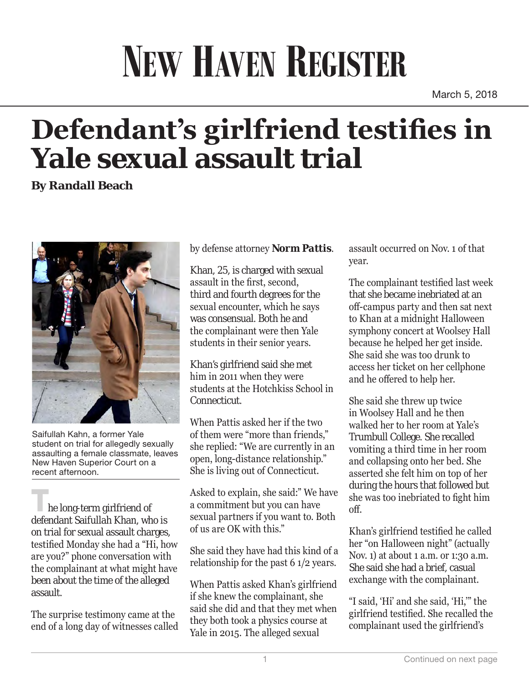## **NEW HAVEN REGISTER**

March 5, 2018

## **Defendant's girlfriend testifies in Yale sexual assault trial**

**By Randall Beach**



Saifullah Kahn, a former Yale student on trial for allegedly sexually assaulting a female classmate, leaves New Haven Superior Court on a recent afternoon.

he long-term girlfriend of defendant Saifullah Khan, who is on trial for sexual assault charges, testified Monday she had a "Hi, how are you?" phone conversation with the complainant at what might have been about the time of the alleged assault.

The surprise testimony came at the end of a long day of witnesses called by defense attorney *Norm Pattis*.

Khan, 25, is charged with sexual assault in the first, second, third and fourth degrees for the sexual encounter, which he says was consensual. Both he and the complainant were then Yale students in their senior years.

Khan's girlfriend said she met him in 2011 when they were students at the Hotchkiss School in Connecticut.

When Pattis asked her if the two of them were "more than friends," she replied: "We are currently in an open, long-distance relationship." She is living out of Connecticut.

Asked to explain, she said:" We have a commitment but you can have sexual partners if you want to. Both of us are OK with this."

She said they have had this kind of a relationship for the past 6 1/2 years.

When Pattis asked Khan's girlfriend if she knew the complainant, she said she did and that they met when they both took a physics course at Yale in 2015. The alleged sexual

assault occurred on Nov. 1 of that year.

The complainant testified last week that she became inebriated at an off-campus party and then sat next to Khan at a midnight Halloween symphony concert at Woolsey Hall because he helped her get inside. She said she was too drunk to access her ticket on her cellphone and he offered to help her.

She said she threw up twice in Woolsey Hall and he then walked her to her room at Yale's Trumbull College. She recalled vomiting a third time in her room and collapsing onto her bed. She asserted she felt him on top of her during the hours that followed but she was too inebriated to fight him off.

Khan's girlfriend testified he called her "on Halloween night" (actually Nov. 1) at about 1 a.m. or 1:30 a.m. She said she had a brief, casual exchange with the complainant.

"I said, 'Hi' and she said, 'Hi,'" the girlfriend testified. She recalled the complainant used the girlfriend's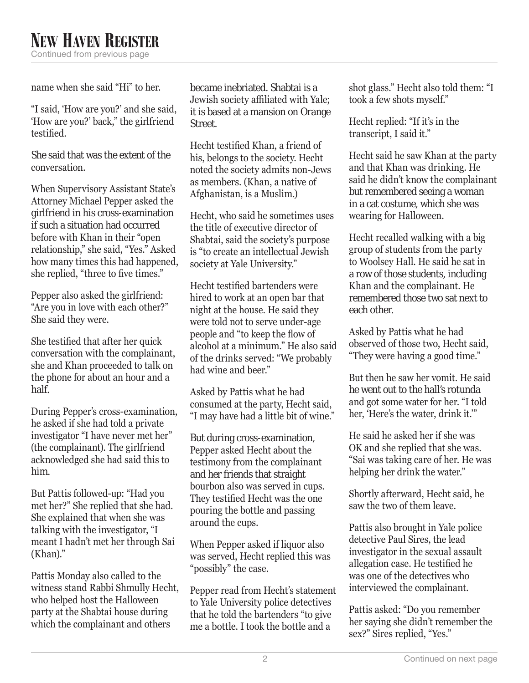name when she said "Hi" to her.

"I said, 'How are you?' and she said, 'How are you?' back," the girlfriend testified.

She said that was the extent of the conversation.

When Supervisory Assistant State's Attorney Michael Pepper asked the girlfriend in his cross-examination if such a situation had occurred before with Khan in their "open relationship," she said, "Yes." Asked how many times this had happened, she replied, "three to five times."

Pepper also asked the girlfriend: "Are you in love with each other?" She said they were.

She testified that after her quick conversation with the complainant, she and Khan proceeded to talk on the phone for about an hour and a half.

During Pepper's cross-examination, he asked if she had told a private investigator "I have never met her" (the complainant). The girlfriend acknowledged she had said this to him.

But Pattis followed-up: "Had you met her?" She replied that she had. She explained that when she was talking with the investigator, "I meant I hadn't met her through Sai (Khan)."

Pattis Monday also called to the witness stand Rabbi Shmully Hecht, who helped host the Halloween party at the Shabtai house during which the complainant and others

became inebriated. Shabtai is a Jewish society affiliated with Yale; it is based at a mansion on Orange Street.

Hecht testified Khan, a friend of his, belongs to the society. Hecht noted the society admits non-Jews as members. (Khan, a native of Afghanistan, is a Muslim.)

Hecht, who said he sometimes uses the title of executive director of Shabtai, said the society's purpose is "to create an intellectual Jewish society at Yale University."

Hecht testified bartenders were hired to work at an open bar that night at the house. He said they were told not to serve under-age people and "to keep the flow of alcohol at a minimum." He also said of the drinks served: "We probably had wine and beer."

Asked by Pattis what he had consumed at the party, Hecht said, "I may have had a little bit of wine."

But during cross-examination, Pepper asked Hecht about the testimony from the complainant and her friends that straight bourbon also was served in cups. They testified Hecht was the one pouring the bottle and passing around the cups.

When Pepper asked if liquor also was served, Hecht replied this was "possibly" the case.

Pepper read from Hecht's statement to Yale University police detectives that he told the bartenders "to give me a bottle. I took the bottle and a

shot glass." Hecht also told them: "I took a few shots myself."

Hecht replied: "If it's in the transcript, I said it."

Hecht said he saw Khan at the party and that Khan was drinking. He said he didn't know the complainant but remembered seeing a woman in a cat costume, which she was wearing for Halloween.

Hecht recalled walking with a big group of students from the party to Woolsey Hall. He said he sat in a row of those students, including Khan and the complainant. He remembered those two sat next to each other.

Asked by Pattis what he had observed of those two, Hecht said, "They were having a good time."

But then he saw her vomit. He said he went out to the hall's rotunda and got some water for her. "I told her, 'Here's the water, drink it.'"

He said he asked her if she was OK and she replied that she was. "Sai was taking care of her. He was helping her drink the water."

Shortly afterward, Hecht said, he saw the two of them leave.

Pattis also brought in Yale police detective Paul Sires, the lead investigator in the sexual assault allegation case. He testified he was one of the detectives who interviewed the complainant.

Pattis asked: "Do you remember her saying she didn't remember the sex?" Sires replied, "Yes."